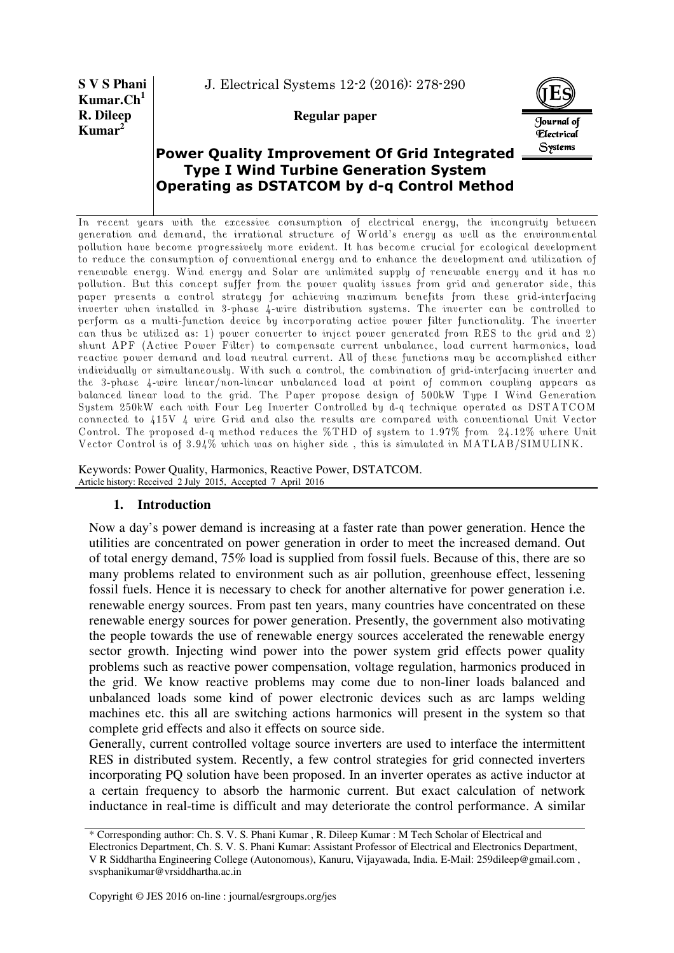**S V S Phani Kumar.Ch<sup>1</sup> R. Dileep Kumar<sup>2</sup>**

J. Electrical Systems 12-2 (2016): 278-290

**Regular paper** 



# **Power Quality Improvement Of Grid Integrated Type I Wind Turbine Generation System Operating as DSTATCOM by d-q Control Method**

In recent years with the excessive consumption of electrical energy, the incongruity between generation and demand, the irrational structure of World's energy as well as the environmental pollution have become progressively more evident. It has become crucial for ecological development to reduce the consumption of conventional energy and to enhance the development and utilization of renewable energy. Wind energy and Solar are unlimited supply of renewable energy and it has no pollution. But this concept suffer from the power quality issues from grid and generator side, this paper presents a control strategy for achieving maximum benefits from these grid-interfacing inverter when installed in 3-phase 4-wire distribution systems. The inverter can be controlled to perform as a multi-function device by incorporating active power filter functionality. The inverter can thus be utilized as: 1) power converter to inject power generated from RES to the grid and 2) shunt APF (Active Power Filter) to compensate current unbalance, load current harmonics, load reactive power demand and load neutral current. All of these functions may be accomplished either individually or simultaneously. With such a control, the combination of grid-interfacing inverter and the 3-phase 4-wire linear/non-linear unbalanced load at point of common coupling appears as balanced linear load to the grid. The Paper propose design of 500kW Type I Wind Generation System 250kW each with Four Leg Inverter Controlled by d-q technique operated as DSTATCOM connected to 415V 4 wire Grid and also the results are compared with conventional Unit Vector Control. The proposed d-q method reduces the %THD of system to 1.97% from 24.12% where Unit Vector Control is of 3.94% which was on higher side , this is simulated in MATLAB/SIMULINK.

Keywords: Power Quality, Harmonics, Reactive Power, DSTATCOM. Article history: Received 2 July 2015, Accepted 7 April 2016

# **1. Introduction**

Now a day's power demand is increasing at a faster rate than power generation. Hence the utilities are concentrated on power generation in order to meet the increased demand. Out of total energy demand, 75% load is supplied from fossil fuels. Because of this, there are so many problems related to environment such as air pollution, greenhouse effect, lessening fossil fuels. Hence it is necessary to check for another alternative for power generation i.e. renewable energy sources. From past ten years, many countries have concentrated on these renewable energy sources for power generation. Presently, the government also motivating the people towards the use of renewable energy sources accelerated the renewable energy sector growth. Injecting wind power into the power system grid effects power quality problems such as reactive power compensation, voltage regulation, harmonics produced in the grid. We know reactive problems may come due to non-liner loads balanced and unbalanced loads some kind of power electronic devices such as arc lamps welding machines etc. this all are switching actions harmonics will present in the system so that complete grid effects and also it effects on source side.

Generally, current controlled voltage source inverters are used to interface the intermittent RES in distributed system. Recently, a few control strategies for grid connected inverters incorporating PQ solution have been proposed. In an inverter operates as active inductor at a certain frequency to absorb the harmonic current. But exact calculation of network inductance in real-time is difficult and may deteriorate the control performance. A similar

<sup>\*</sup> Corresponding author: Ch. S. V. S. Phani Kumar , R. Dileep Kumar : M Tech Scholar of Electrical and

Electronics Department, Ch. S. V. S. Phani Kumar: Assistant Professor of Electrical and Electronics Department, V R Siddhartha Engineering College (Autonomous), Kanuru, Vijayawada, India. E-Mail: 259dileep@gmail.com , svsphanikumar@vrsiddhartha.ac.in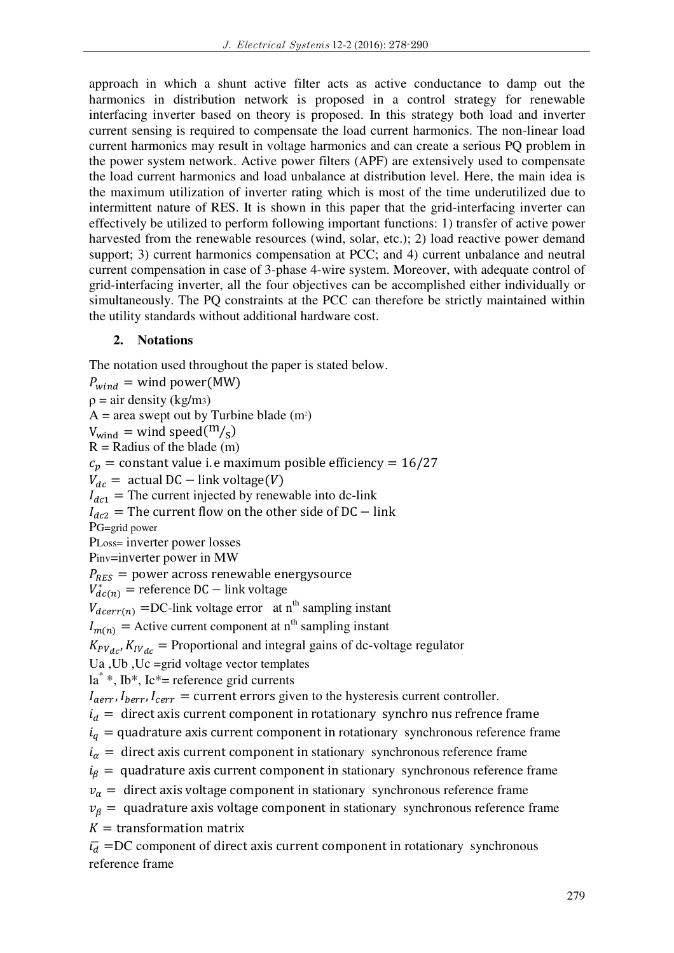approach in which a shunt active filter acts as active conductance to damp out the harmonics in distribution network is proposed in a control strategy for renewable interfacing inverter based on theory is proposed. In this strategy both load and inverter current sensing is required to compensate the load current harmonics. The non-linear load current harmonics may result in voltage harmonics and can create a serious PQ problem in the power system network. Active power filters (APF) are extensively used to compensate the load current harmonics and load unbalance at distribution level. Here, the main idea is the maximum utilization of inverter rating which is most of the time underutilized due to intermittent nature of RES. It is shown in this paper that the grid-interfacing inverter can effectively be utilized to perform following important functions: 1) transfer of active power harvested from the renewable resources (wind, solar, etc.); 2) load reactive power demand support; 3) current harmonics compensation at PCC; and 4) current unbalance and neutral current compensation in case of 3-phase 4-wire system. Moreover, with adequate control of grid-interfacing inverter, all the four objectives can be accomplished either individually or simultaneously. The PQ constraints at the PCC can therefore be strictly maintained within the utility standards without additional hardware cost.

## **2. Notations**

The notation used throughout the paper is stated below.

 $P_{wind}$  = wind power(MW)  $\rho = \text{air density (kg/m3)}$  $A =$  area swept out by Turbine blade  $(m<sup>2</sup>)$  $V_{wind} =$  wind speed $\binom{m}{s}$  $R =$  Radius of the blade (m)  $c_p$  = constant value i. e maximum posible efficiency = 16/27  $V_{dc}$  = actual DC – link voltage(V)  $I_{dc1}$  = The current injected by renewable into dc-link  $I_{dc2}$  = The current flow on the other side of DC – link PG=grid power PLoss= inverter power losses Pinv=inverter power in MW  $P_{RES}$  = power across renewable energysource  $V_{dc(n)}^*$  = reference DC – link voltage  $V_{deerr(n)}$  =DC-link voltage error at n<sup>th</sup> sampling instant  $I_{m(n)}$  = Active current component at n<sup>th</sup> sampling instant  $K_{PV_{dc}}$ ,  $K_{IV_{dc}}$  = Proportional and integral gains of dc-voltage regulator Ua ,Ub ,Uc =grid voltage vector templates la\* \*, Ib\*, Ic\*= reference grid currents  $I_{aerr}$ ,  $I_{berr}$ ,  $I_{cerr}$  = current errors given to the hysteresis current controller.  $i_d$  = direct axis current component in rotationary synchro nus refrence frame  $i_q$  = quadrature axis current component in rotationary synchronous reference frame  $i_{\alpha}$  = direct axis current component in stationary synchronous reference frame  $i_\beta$  = quadrature axis current component in stationary synchronous reference frame  $v_{\alpha}$  = direct axis voltage component in stationary synchronous reference frame  $v_{\beta}$  = quadrature axis voltage component in stationary synchronous reference frame  $K =$  transformation matrix  $\bar{v}_d$  = DC component of direct axis current component in rotationary synchronous reference frame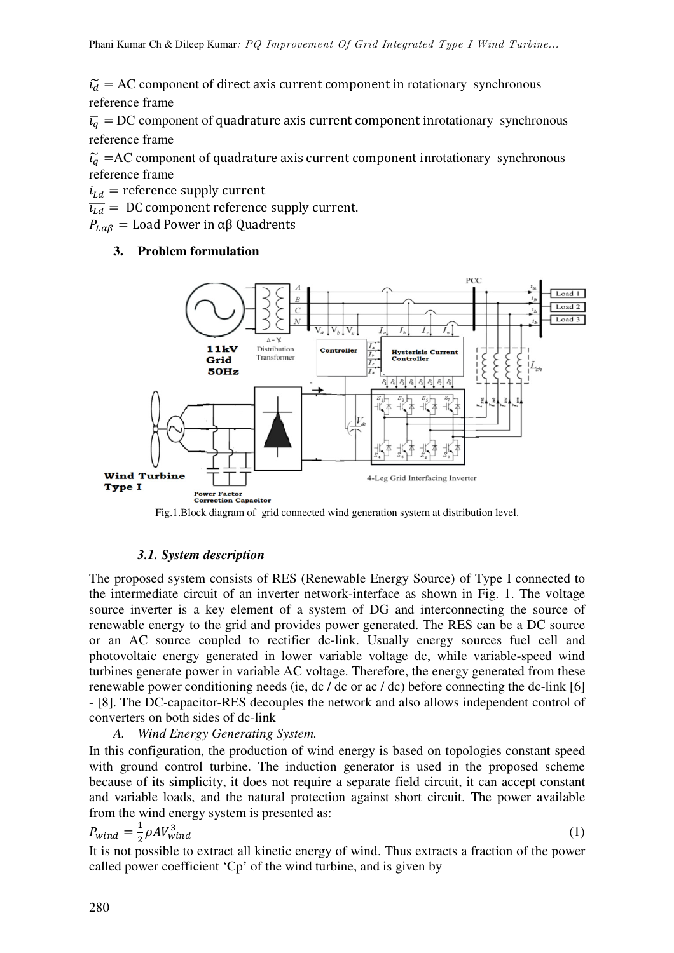$\tilde{V}_d$  = AC component of direct axis current component in rotationary synchronous reference frame

 $\overline{v}_q = DC$  component of quadrature axis current component inrotationary synchronous reference frame

 $\tilde{u}_q$  =AC component of quadrature axis current component inrotationary synchronous reference frame

 $i_{Ld}$  = reference supply current

 $\overline{u_{Ld}}$  = DC component reference supply current.

 $P_{L\alpha\beta} =$  Load Power in αβ Quadrents

# **3. Problem formulation**



# *3.1. System description*

The proposed system consists of RES (Renewable Energy Source) of Type I connected to the intermediate circuit of an inverter network-interface as shown in Fig. 1. The voltage source inverter is a key element of a system of DG and interconnecting the source of renewable energy to the grid and provides power generated. The RES can be a DC source or an AC source coupled to rectifier dc-link. Usually energy sources fuel cell and photovoltaic energy generated in lower variable voltage dc, while variable-speed wind turbines generate power in variable AC voltage. Therefore, the energy generated from these renewable power conditioning needs (ie, dc / dc or ac / dc) before connecting the dc-link [6] - [8]. The DC-capacitor-RES decouples the network and also allows independent control of converters on both sides of dc-link

# *A. Wind Energy Generating System.*

In this configuration, the production of wind energy is based on topologies constant speed with ground control turbine. The induction generator is used in the proposed scheme because of its simplicity, it does not require a separate field circuit, it can accept constant and variable loads, and the natural protection against short circuit. The power available from the wind energy system is presented as:

$$
P_{wind} = \frac{1}{2} \rho A V_{wind}^3
$$

(1)

It is not possible to extract all kinetic energy of wind. Thus extracts a fraction of the power called power coefficient 'Cp' of the wind turbine, and is given by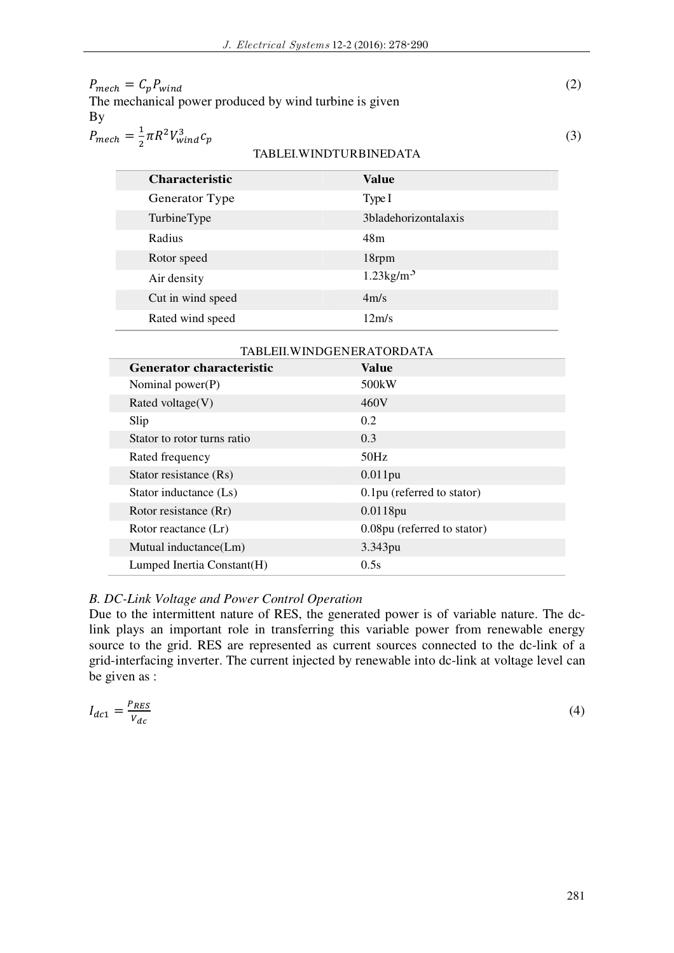| $P_{mech} = C_p P_{wind}$                              |  |
|--------------------------------------------------------|--|
| The mechanical power produced by wind turbine is given |  |
| Bv                                                     |  |
| $P_{mech} = \frac{1}{2} \pi R^2 V_{wind}^3 c_p$        |  |
| TABLEI.WINDTURBINEDATA                                 |  |

# **Characteristic Value** Generator Type Type I TurbineType 3bladehorizontalaxis Radius 48m Rotor speed 18rpm Air density 1.23kg/m<sup>3</sup> Cut in wind speed 4m/s Rated wind speed 12m/s

| TABLEII.WINDGENERATORDATA   |                             |  |
|-----------------------------|-----------------------------|--|
| Generator characteristic    | Value                       |  |
| Nominal power(P)            | 500kW                       |  |
| Rated voltage $(V)$         | 460V                        |  |
| Slip                        | 0.2                         |  |
| Stator to rotor turns ratio | 0.3                         |  |
| Rated frequency             | 50Hz                        |  |
| Stator resistance (Rs)      | $0.011$ pu                  |  |
| Stator inductance (Ls)      | 0.1pu (referred to stator)  |  |
| Rotor resistance (Rr)       | 0.0118pu                    |  |
| Rotor reactance (Lr)        | 0.08pu (referred to stator) |  |
| Mutual inductance(Lm)       | 3.343pu                     |  |
| Lumped Inertia Constant(H)  | 0.5s                        |  |

#### *B. DC-Link Voltage and Power Control Operation*

Due to the intermittent nature of RES, the generated power is of variable nature. The dclink plays an important role in transferring this variable power from renewable energy source to the grid. RES are represented as current sources connected to the dc-link of a grid-interfacing inverter. The current injected by renewable into dc-link at voltage level can be given as :

$$
I_{dc1} = \frac{P_{RES}}{V_{dc}}\tag{4}
$$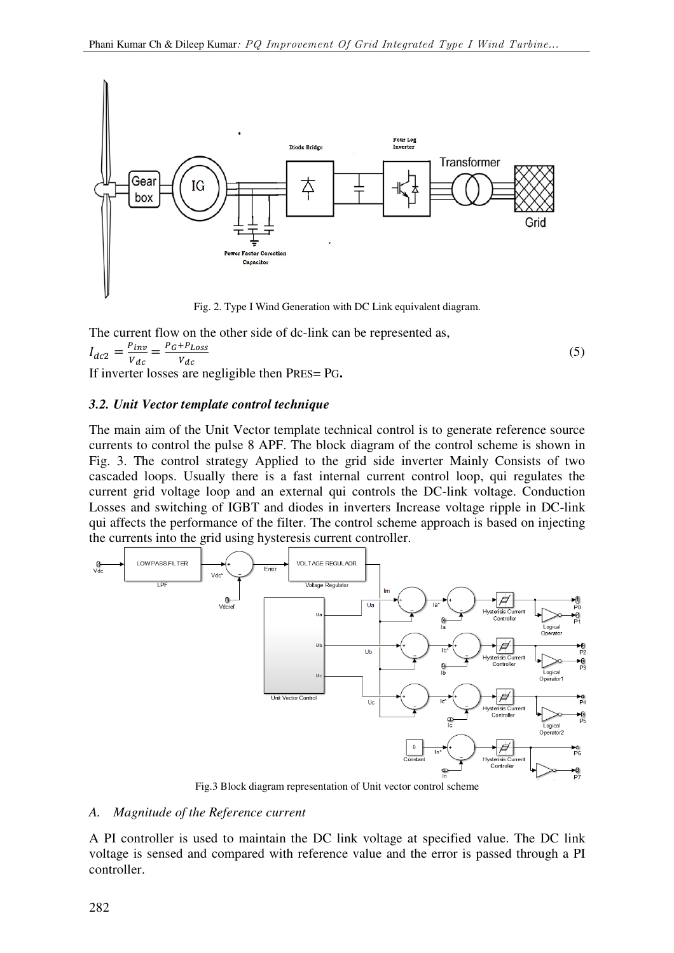

Fig. 2. Type I Wind Generation with DC Link equivalent diagram.

The current flow on the other side of dc-link can be represented as,  $I_{dc2} = \frac{P_{inv}}{V_{dc}}$  $\frac{p_{inv}}{V_{dc}} = \frac{P_G + P_{Loss}}{V_{dc}}$  $V_{dc}$  $(5)$ If inverter losses are negligible then PRES= PG**.** 

## *3.2. Unit Vector template control technique*

The main aim of the Unit Vector template technical control is to generate reference source currents to control the pulse 8 APF. The block diagram of the control scheme is shown in Fig. 3. The control strategy Applied to the grid side inverter Mainly Consists of two cascaded loops. Usually there is a fast internal current control loop, qui regulates the current grid voltage loop and an external qui controls the DC-link voltage. Conduction Losses and switching of IGBT and diodes in inverters Increase voltage ripple in DC-link qui affects the performance of the filter. The control scheme approach is based on injecting the currents into the grid using hysteresis current controller.



Fig.3 Block diagram representation of Unit vector control scheme

#### *A. Magnitude of the Reference current*

A PI controller is used to maintain the DC link voltage at specified value. The DC link voltage is sensed and compared with reference value and the error is passed through a PI controller.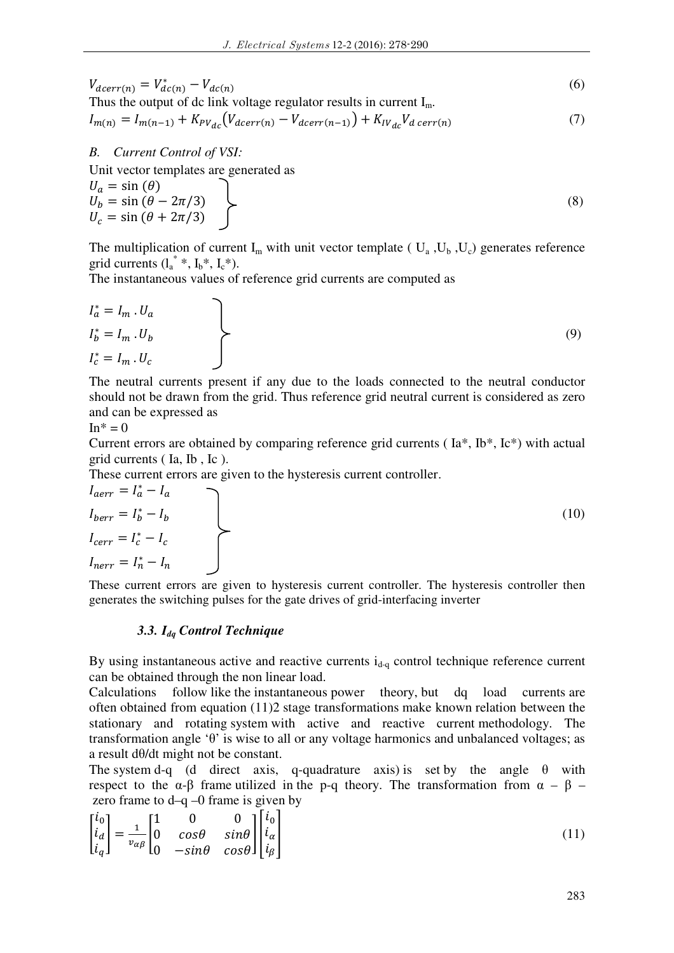$$
V_{dcerr(n)} = V_{dc(n)}^{*} - V_{dc(n)}
$$
  
Thus the output of dc link voltage regulator results in current I<sub>m</sub>. (6)

$$
I_{m(n)} = I_{m(n-1)} + K_{PV_{dc}}(V_{dcerr(n)} - V_{dcerr(n-1)}) + K_{IV_{dc}}V_{d \, corr(n)}
$$
(7)

*B. Current Control of VSI:* 

Unit vector templates are generated as

$$
U_a = \sin(\theta)
$$
  
\n
$$
U_b = \sin(\theta - 2\pi/3)
$$
  
\n
$$
U_c = \sin(\theta + 2\pi/3)
$$
\n(8)

The multiplication of current  $I_m$  with unit vector template ( $U_a$ ,  $U_b$ ,  $U_c$ ) generates reference grid currents  $(l_a^* *, l_b^*, l_c^*)$ .

The instantaneous values of reference grid currents are computed as

$$
I_a^* = I_m \tcdot U_a
$$
  
\n
$$
I_b^* = I_m \tcdot U_b
$$
  
\n
$$
I_c^* = I_m \tcdot U_c
$$
\n(9)

The neutral currents present if any due to the loads connected to the neutral conductor should not be drawn from the grid. Thus reference grid neutral current is considered as zero and can be expressed as

$$
\mathrm{In}^* = 0
$$

Current errors are obtained by comparing reference grid currents ( Ia\*, Ib\*, Ic\*) with actual grid currents ( Ia, Ib , Ic ).

These current errors are given to the hysteresis current controller.

$$
I_{aerr} = I_a^* - I_a
$$
  
\n
$$
I_{berr} = I_b^* - I_b
$$
  
\n
$$
I_{cerr} = I_c^* - I_c
$$
  
\n
$$
I_{nerr} = I_n^* - I_n
$$
 (10)

These current errors are given to hysteresis current controller. The hysteresis controller then generates the switching pulses for the gate drives of grid-interfacing inverter

## *3.3. Idq Control Technique*

By using instantaneous active and reactive currents  $i_{d-q}$  control technique reference current can be obtained through the non linear load.

Calculations follow like the instantaneous power theory, but dq load currents are often obtained from equation (11)2 stage transformations make known relation between the stationary and rotating system with active and reactive current methodology. The transformation angle 'θ' is wise to all or any voltage harmonics and unbalanced voltages; as a result dθ/dt might not be constant.

The system d-q (d direct axis, q-quadrature axis) is set by the angle  $\theta$  with respect to the α-β frame utilized in the p-q theory. The transformation from  $\alpha - \beta$  – zero frame to  $d-q-0$  frame is given by

$$
\begin{bmatrix} i_0 \\ i_d \\ i_q \end{bmatrix} = \frac{1}{v_{\alpha\beta}} \begin{bmatrix} 1 & 0 & 0 \\ 0 & \cos\theta & \sin\theta \\ 0 & -\sin\theta & \cos\theta \end{bmatrix} \begin{bmatrix} i_0 \\ i_\alpha \\ i_\beta \end{bmatrix}
$$
(11)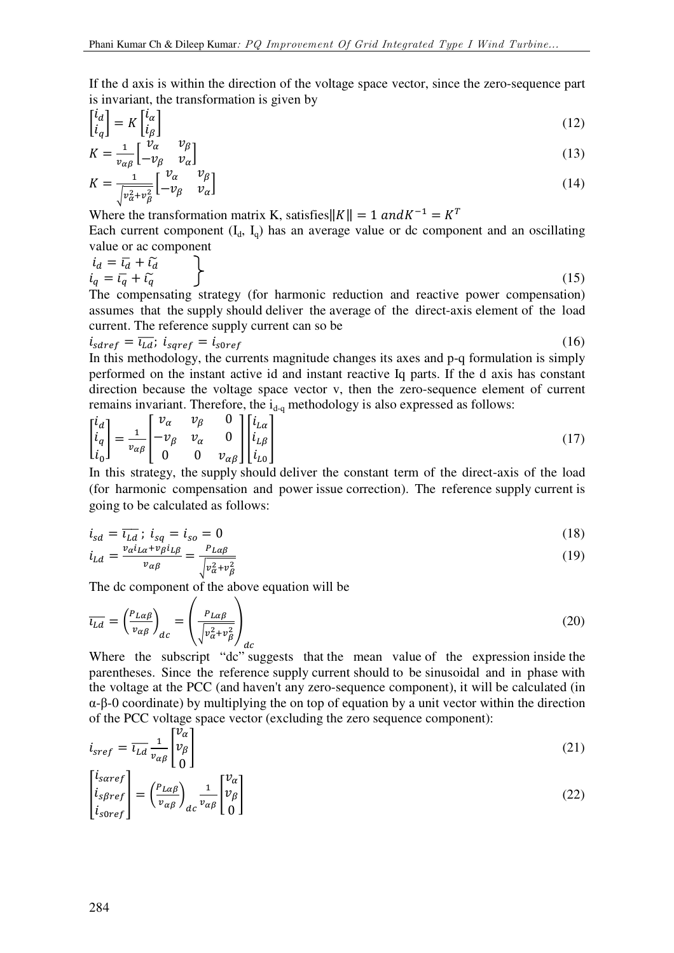If the d axis is within the direction of the voltage space vector, since the zero-sequence part is invariant, the transformation is given by

$$
\begin{bmatrix} i_d \\ i_q \end{bmatrix} = K \begin{bmatrix} i_\alpha \\ i_\beta \end{bmatrix} \tag{12}
$$

$$
K = \frac{1}{v_{\alpha\beta}} \begin{bmatrix} \dot{v}_{\alpha} & v_{\beta} \\ -v_{\beta} & v_{\alpha} \end{bmatrix}
$$
  
\n
$$
V = \begin{bmatrix} 1 & v_{\alpha} & v_{\beta} \\ 1 & v_{\alpha} & v_{\beta} \end{bmatrix}
$$
 (13)

$$
K = \frac{1}{\sqrt{v_{\alpha}^2 + v_{\beta}^2}} \begin{bmatrix} v_{\alpha} & v_{\beta} \\ -v_{\beta} & v_{\alpha} \end{bmatrix}
$$
 (14)

Where the transformation matrix K, satisfies  $||K|| = 1$  and  $K^{-1} = K^{T}$ 

Each current component  $(I_d, I_q)$  has an average value or dc component and an oscillating value or ac component

$$
i_{a} = \overline{i_{a}} + \widetilde{i_{a}}
$$
  
\n
$$
i_{q} = \overline{i_{q}} + \widetilde{i_{q}}
$$
\n(15)

The compensating strategy (for harmonic reduction and reactive power compensation) assumes that the supply should deliver the average of the direct-axis element of the load current. The reference supply current can so be

$$
i_{sderf} = \overline{\iota_{Ld}}; \; i_{sqref} = i_{s0ref} \tag{16}
$$

In this methodology, the currents magnitude changes its axes and p-q formulation is simply performed on the instant active id and instant reactive Iq parts. If the d axis has constant direction because the voltage space vector v, then the zero-sequence element of current remains invariant. Therefore, the  $i_{d-q}$  methodology is also expressed as follows:

$$
\begin{bmatrix} i_d \\ i_q \\ i_0 \end{bmatrix} = \frac{1}{v_{\alpha\beta}} \begin{bmatrix} v_{\alpha} & v_{\beta} & 0 \\ -v_{\beta} & v_{\alpha} & 0 \\ 0 & 0 & v_{\alpha\beta} \end{bmatrix} \begin{bmatrix} i_{L\alpha} \\ i_{L\beta} \\ i_{L0} \end{bmatrix}
$$
(17)

In this strategy, the supply should deliver the constant term of the direct-axis of the load (for harmonic compensation and power issue correction). The reference supply current is going to be calculated as follows:

$$
i_{sd} = \overline{i_{Ld}} \; ; \; i_{sq} = i_{so} = 0 \tag{18}
$$

$$
i_{Ld} = \frac{v_{\alpha}i_{L\alpha} + v_{\beta}i_{L\beta}}{v_{\alpha\beta}} = \frac{P_{L\alpha\beta}}{\sqrt{v_{\alpha}^2 + v_{\beta}^2}}
$$
(19)

The dc component of the above equation will be

$$
\overline{\iota_{Ld}} = \left(\frac{P_{L\alpha\beta}}{v_{\alpha\beta}}\right)_{dc} = \left(\frac{P_{L\alpha\beta}}{\sqrt{v_{\alpha}^2 + v_{\beta}^2}}\right)_{dc}
$$
\n(20)

Where the subscript "dc" suggests that the mean value of the expression inside the parentheses. Since the reference supply current should to be sinusoidal and in phase with the voltage at the PCC (and haven't any zero-sequence component), it will be calculated (in α-β-0 coordinate) by multiplying the on top of equation by a unit vector within the direction of the PCC voltage space vector (excluding the zero sequence component):

$$
i_{sref} = \overline{\iota_{Ld}} \frac{1}{\nu_{\alpha\beta}} \begin{bmatrix} \nu_{\alpha} \\ \nu_{\beta} \\ 0 \end{bmatrix}
$$
 (21)

$$
\begin{bmatrix} l_{saref} \\ i_{s\beta ref} \\ i_{s0ref} \end{bmatrix} = \left(\frac{p_{L\alpha\beta}}{v_{\alpha\beta}}\right)_{dc} \frac{1}{v_{\alpha\beta}} \begin{bmatrix} v_{\alpha} \\ v_{\beta} \\ 0 \end{bmatrix}
$$
\n(22)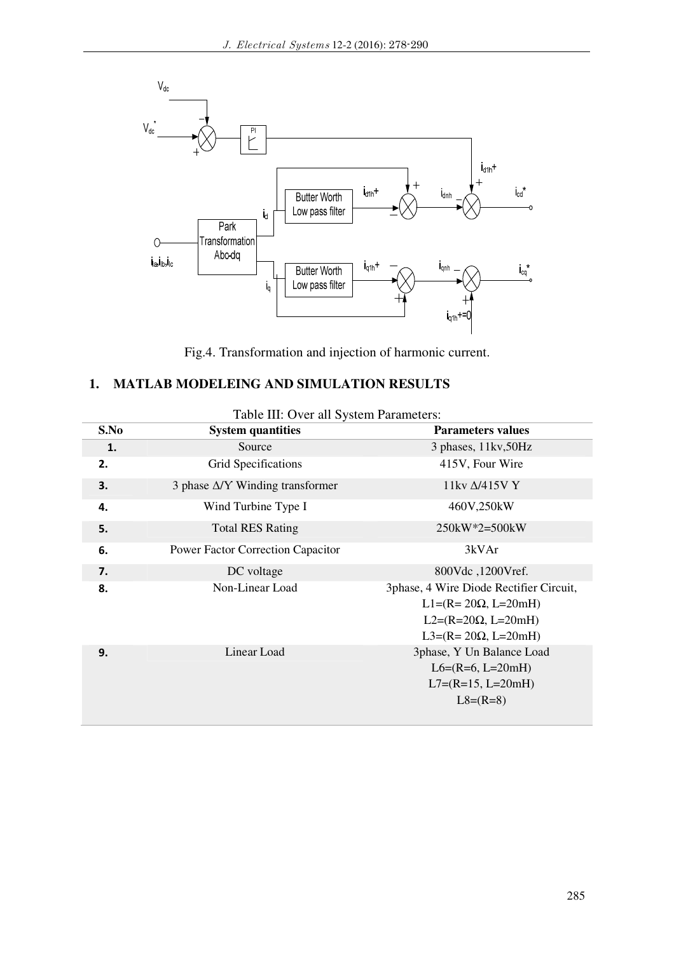

Fig.4. Transformation and injection of harmonic current.

# **1. MATLAB MODELEING AND SIMULATION RESULTS**

| S.No | <b>System quantities</b>                | <b>Parameters values</b>                                                                                                             |
|------|-----------------------------------------|--------------------------------------------------------------------------------------------------------------------------------------|
| 1.   | Source                                  | 3 phases, 11kv, 50Hz                                                                                                                 |
| 2.   | Grid Specifications                     | 415V, Four Wire                                                                                                                      |
| 3.   | 3 phase $\Delta$ /Y Winding transformer | 11kv $\Delta$ /415V Y                                                                                                                |
| 4.   | Wind Turbine Type I                     | 460V,250kW                                                                                                                           |
| 5.   | <b>Total RES Rating</b>                 | $250kW*2=500kW$                                                                                                                      |
| 6.   | Power Factor Correction Capacitor       | 3kVAr                                                                                                                                |
| 7.   | DC voltage                              | 800Vdc, 1200Vref.                                                                                                                    |
| 8.   | Non-Linear Load                         | 3phase, 4 Wire Diode Rectifier Circuit,<br>$L1 = (R = 20\Omega, L = 20mH)$<br>$L2=(R=20\Omega, L=20mH)$<br>$L3=(R=20\Omega, L=20mH)$ |
| 9.   | Linear Load                             | 3phase, Y Un Balance Load<br>$L6=(R=6, L=20mH)$<br>$L7=(R=15, L=20mH)$<br>$L8=(R=8)$                                                 |

## Table III: Over all System Parameters: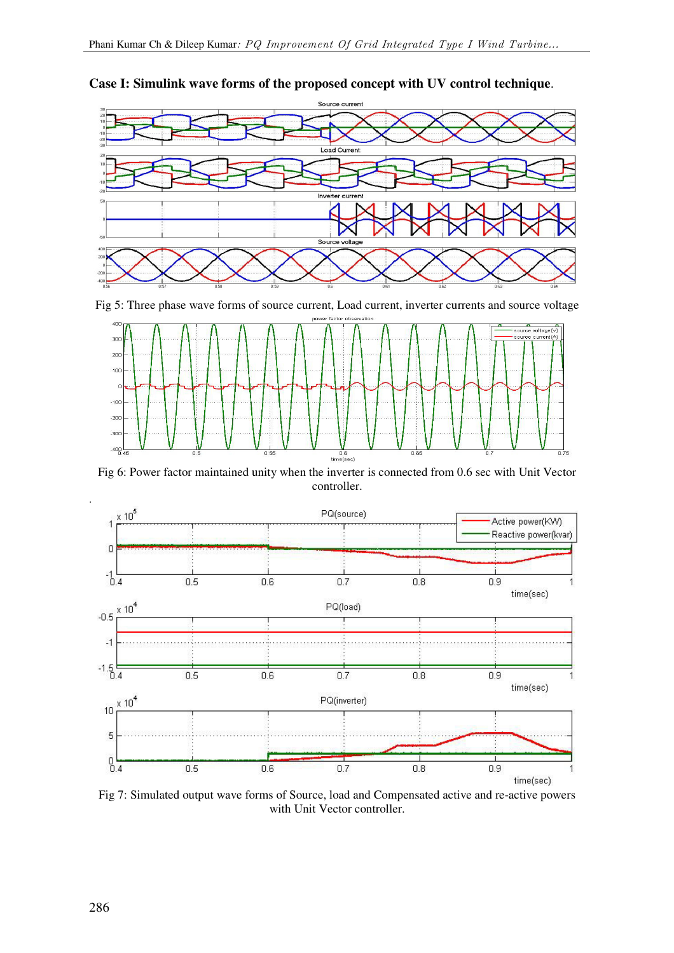

**Case I: Simulink wave forms of the proposed concept with UV control technique**.

Fig 5: Three phase wave forms of source current, Load current, inverter currents and source voltage



Fig 6: Power factor maintained unity when the inverter is connected from 0.6 sec with Unit Vector controller.



Fig 7: Simulated output wave forms of Source, load and Compensated active and re-active powers with Unit Vector controller.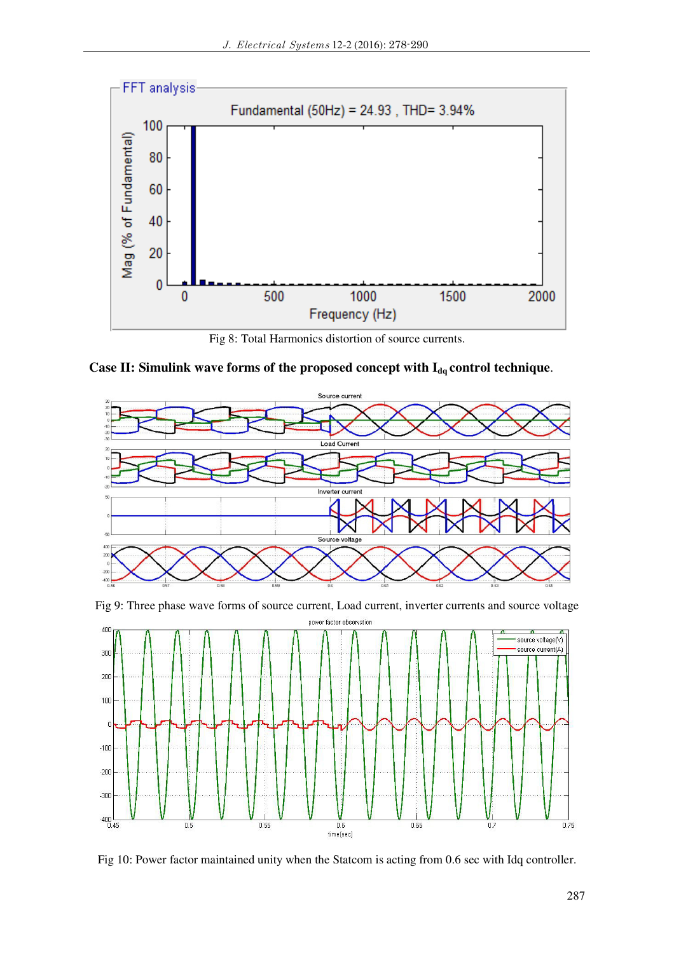

Fig 8: Total Harmonics distortion of source currents.

Case II: Simulink wave forms of the proposed concept with  $I_{dq}$  control technique.



Fig 9: Three phase wave forms of source current, Load current, inverter currents and source voltage



Fig 10: Power factor maintained unity when the Statcom is acting from 0.6 sec with Idq controller.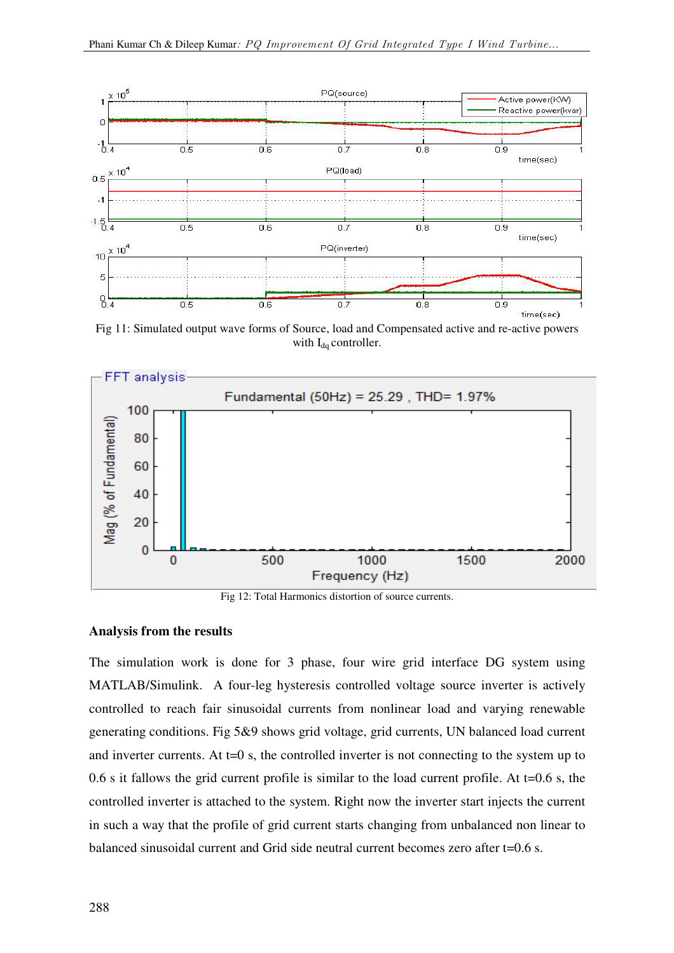

Fig 11: Simulated output wave forms of Source, load and Compensated active and re-active powers with  $I_{dq}$  controller.



Fig 12: Total Harmonics distortion of source currents.

#### **Analysis from the results**

The simulation work is done for 3 phase, four wire grid interface DG system using MATLAB/Simulink. A four-leg hysteresis controlled voltage source inverter is actively controlled to reach fair sinusoidal currents from nonlinear load and varying renewable generating conditions. Fig 5&9 shows grid voltage, grid currents, UN balanced load current and inverter currents. At t=0 s, the controlled inverter is not connecting to the system up to 0.6 s it fallows the grid current profile is similar to the load current profile. At t=0.6 s, the controlled inverter is attached to the system. Right now the inverter start injects the current in such a way that the profile of grid current starts changing from unbalanced non linear to balanced sinusoidal current and Grid side neutral current becomes zero after t=0.6 s.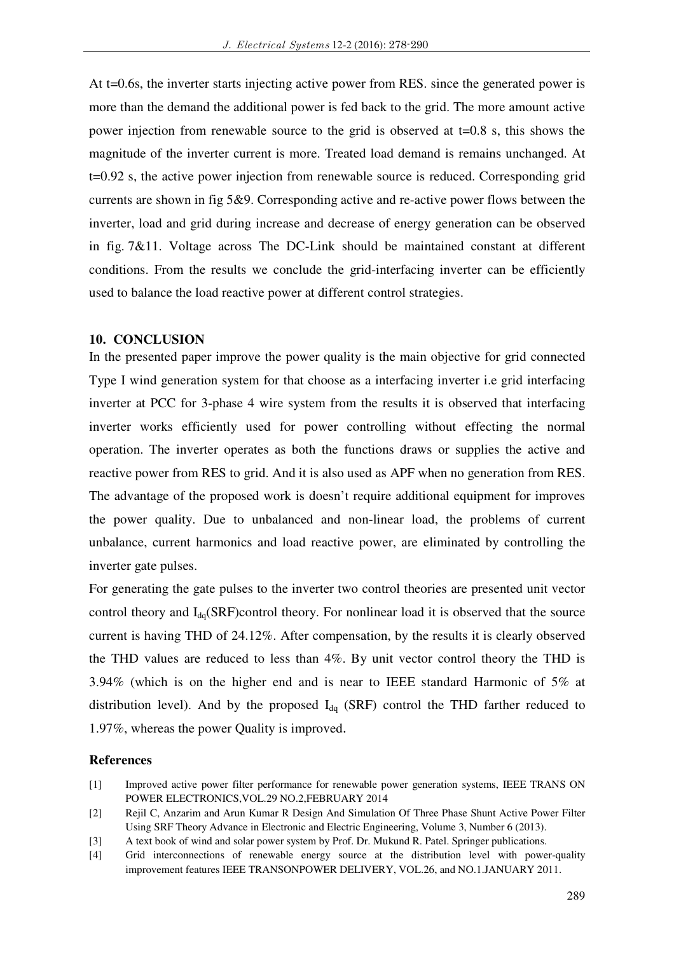At t=0.6s, the inverter starts injecting active power from RES, since the generated power is more than the demand the additional power is fed back to the grid. The more amount active power injection from renewable source to the grid is observed at  $t=0.8$  s, this shows the magnitude of the inverter current is more. Treated load demand is remains unchanged. At t=0.92 s, the active power injection from renewable source is reduced. Corresponding grid currents are shown in fig 5&9. Corresponding active and re-active power flows between the inverter, load and grid during increase and decrease of energy generation can be observed in fig. 7&11. Voltage across The DC-Link should be maintained constant at different conditions. From the results we conclude the grid-interfacing inverter can be efficiently used to balance the load reactive power at different control strategies.

## **10. CONCLUSION**

In the presented paper improve the power quality is the main objective for grid connected Type I wind generation system for that choose as a interfacing inverter i.e grid interfacing inverter at PCC for 3-phase 4 wire system from the results it is observed that interfacing inverter works efficiently used for power controlling without effecting the normal operation. The inverter operates as both the functions draws or supplies the active and reactive power from RES to grid. And it is also used as APF when no generation from RES. The advantage of the proposed work is doesn't require additional equipment for improves the power quality. Due to unbalanced and non-linear load, the problems of current unbalance, current harmonics and load reactive power, are eliminated by controlling the inverter gate pulses.

For generating the gate pulses to the inverter two control theories are presented unit vector control theory and  $I_{dd}(SRF)$ control theory. For nonlinear load it is observed that the source current is having THD of 24.12%. After compensation, by the results it is clearly observed the THD values are reduced to less than 4%. By unit vector control theory the THD is 3.94% (which is on the higher end and is near to IEEE standard Harmonic of 5% at distribution level). And by the proposed  $I_{dq}$  (SRF) control the THD farther reduced to 1.97%, whereas the power Quality is improved.

## **References**

- [1] Improved active power filter performance for renewable power generation systems, IEEE TRANS ON POWER ELECTRONICS,VOL.29 NO.2,FEBRUARY 2014
- [2] Rejil C, Anzarim and Arun Kumar R Design And Simulation Of Three Phase Shunt Active Power Filter Using SRF Theory Advance in Electronic and Electric Engineering, Volume 3, Number 6 (2013).
- [3] A text book of wind and solar power system by Prof. Dr. Mukund R. Patel. Springer publications.
- [4] Grid interconnections of renewable energy source at the distribution level with power-quality improvement features IEEE TRANSONPOWER DELIVERY, VOL.26, and NO.1.JANUARY 2011.